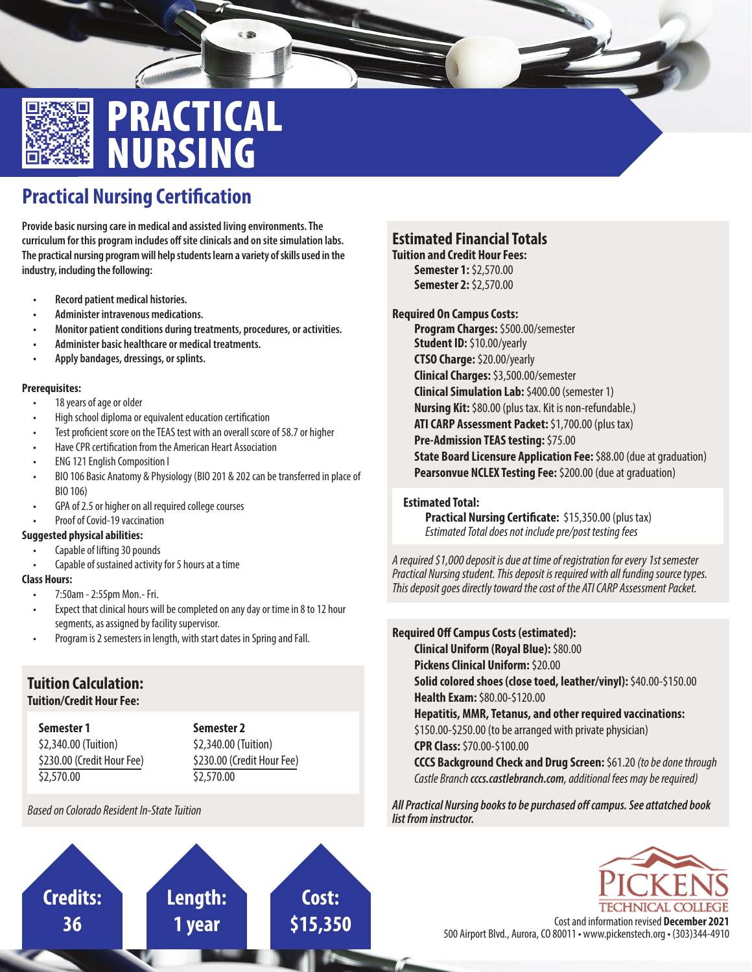

## PRACTICAL NURSING

## **Practical Nursing Certification**

**Provide basic nursing care in medical and assisted living environments. The**  curriculum for this program includes off site clinicals and on site simulation labs. **The practical nursing program will help students learn a variety of skills used in the industry, including the following:**

- **Record patient medical histories.**
- **Administer intravenous medications.**
- **Monitor patient conditions during treatments, procedures, or activities.**
- **Administer basic healthcare or medical treatments.**
- **Apply bandages, dressings, or splints.**

#### **Prerequisites:**

- 18 years of age or older
- High school diploma or equivalent education certification
- Test proficient score on the TEAS test with an overall score of 58.7 or higher
- Have CPR certification from the American Heart Association
- ENG 121 English Composition I
- BIO 106 Basic Anatomy & Physiology (BIO 201 & 202 can be transferred in place of BIO 106)
- GPA of 2.5 or higher on all required college courses
- Proof of Covid-19 vaccination

### **Suggested physical abilities:**

- Capable of lifting 30 pounds
- Capable of sustained activity for 5 hours at a time

### **Class Hours:**

- 7:50am 2:55pm Mon.- Fri.
- Expect that clinical hours will be completed on any day or time in 8 to 12 hour segments, as assigned by facility supervisor.

**Length:**

**1 year**

• Program is 2 semesters in length, with start dates in Spring and Fall.

## **Tuition Calculation:**

### **Tuition/Credit Hour Fee:**

**Semester 1** \$2,340.00 (Tuition) \$230.00 (Credit Hour Fee) \$2,570.00

**Credits:**

**36**

**Semester 2** \$2,340.00 (Tuition) \$230.00 (Credit Hour Fee) \$2,570.00

**Cost:**

*Based on Colorado Resident In-State Tuition*

## **Estimated Financial Totals**

**Tuition and Credit Hour Fees: Semester 1:** \$2,570.00 **Semester 2:** \$2,570.00

### **Required On Campus Costs:**

**Program Charges:** \$500.00/semester **Student ID:** \$10.00/yearly **CTSO Charge:** \$20.00/yearly **Clinical Charges:** \$3,500.00/semester **Clinical Simulation Lab:** \$400.00 (semester 1) **Nursing Kit:** \$80.00 (plus tax. Kit is non-refundable.) **ATI CARP Assessment Packet:** \$1,700.00 (plus tax) **Pre-Admission TEAS testing:** \$75.00 **State Board Licensure Application Fee:** \$88.00 (due at graduation) **Pearsonvue NCLEX Testing Fee:** \$200.00 (due at graduation)

### **Estimated Total:**

**Practical Nursing Certificate:** \$15,350.00 (plus tax) *Estimated Total does not include pre/post testing fees*

*A required \$1,000 deposit is due at time of registration for every 1st semester Practical Nursing student. This deposit is required with all funding source types. This deposit goes directly toward the cost of the ATI CARP Assessment Packet.*

### **Required Off Campus Costs (estimated): Clinical Uniform (Royal Blue):** \$80.00 **Pickens Clinical Uniform: \$20.00 Solid colored shoes (close toed, leather/vinyl):** \$40.00-\$150.00 **Health Exam:** \$80.00-\$120.00 **Hepatitis, MMR, Tetanus, and other required vaccinations:**  \$150.00-\$250.00 (to be arranged with private physician) **CPR Class:** \$70.00-\$100.00 **CCCS Background Check and Drug Screen:** \$61.20 *(to be done through Castle Branch cccs.castlebranch.com, additional fees may be required)*

All Practical Nursing books to be purchased off campus. See attatched book *list from instructor.*



**\$15,350** Cost and information revised **December 2021** 500 Airport Blvd., Aurora, CO 80011 • www.pickenstech.org • (303)344-4910